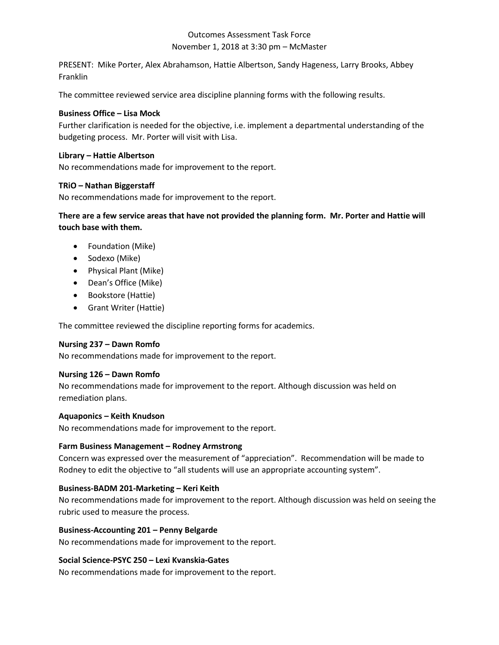# Outcomes Assessment Task Force November 1, 2018 at 3:30 pm – McMaster

PRESENT: Mike Porter, Alex Abrahamson, Hattie Albertson, Sandy Hageness, Larry Brooks, Abbey Franklin

The committee reviewed service area discipline planning forms with the following results.

## **Business Office – Lisa Mock**

Further clarification is needed for the objective, i.e. implement a departmental understanding of the budgeting process. Mr. Porter will visit with Lisa.

### **Library – Hattie Albertson**

No recommendations made for improvement to the report.

## **TRiO – Nathan Biggerstaff**

No recommendations made for improvement to the report.

**There are a few service areas that have not provided the planning form. Mr. Porter and Hattie will touch base with them.** 

- Foundation (Mike)
- Sodexo (Mike)
- Physical Plant (Mike)
- Dean's Office (Mike)
- Bookstore (Hattie)
- Grant Writer (Hattie)

The committee reviewed the discipline reporting forms for academics.

# **Nursing 237 – Dawn Romfo**

No recommendations made for improvement to the report.

#### **Nursing 126 – Dawn Romfo**

No recommendations made for improvement to the report. Although discussion was held on remediation plans.

#### **Aquaponics – Keith Knudson**

No recommendations made for improvement to the report.

#### **Farm Business Management – Rodney Armstrong**

Concern was expressed over the measurement of "appreciation". Recommendation will be made to Rodney to edit the objective to "all students will use an appropriate accounting system".

#### **Business-BADM 201-Marketing – Keri Keith**

No recommendations made for improvement to the report. Although discussion was held on seeing the rubric used to measure the process.

#### **Business-Accounting 201 – Penny Belgarde**

No recommendations made for improvement to the report.

#### **Social Science-PSYC 250 – Lexi Kvanskia-Gates**

No recommendations made for improvement to the report.